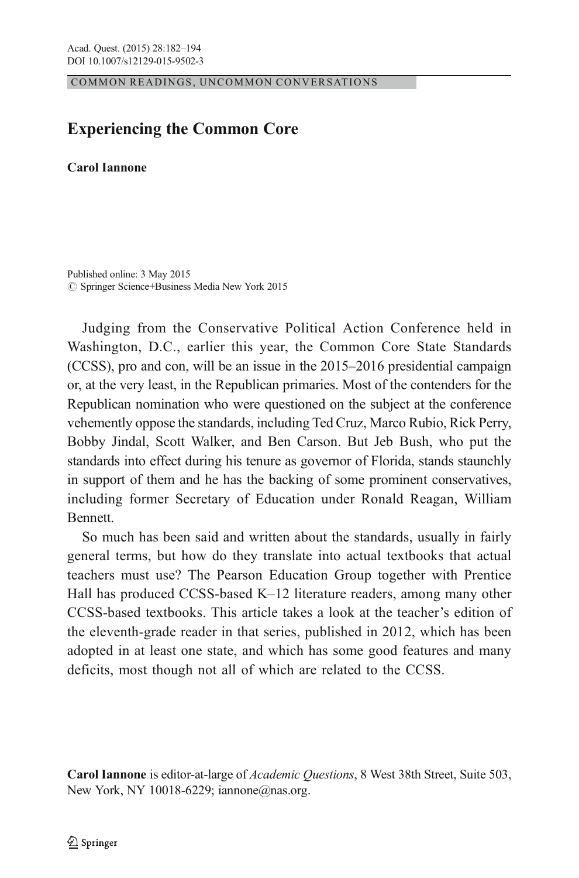COMMON READINGS, UNCOMMON CONVERSATIONS

## $\mathbf{E}$

## **Carol Iannone**

Published online: 3 May 2015  $\oslash$  Springer Science+Business Media New York 2015

Judging from the Conservative Political Action Conference held in Washington, D.C., earlier this year, the Common Core State Standards (CCSS), pro and con, will be an issue in the 2015–2016 presidential campaign or, at the very least, in the Republican primaries. Most of the contenders for the Republican nomination who were questioned on the subject at the conference vehemently oppose the standards, including Ted Cruz, Marco Rubio, Rick Perry, Bobby Jindal, Scott Walker, and Ben Carson. But Jeb Bush, who put the standards into effect during his tenure as governor of Florida, stands staunchly in support of them and he has the backing of some prominent conservatives, including former Secretary of Education under Ronald Reagan, William Bennett.

So much has been said and written about the standards, usually in fairly general terms, but how do they translate into actual textbooks that actual teachers must use? The Pearson Education Group together with Prentice Hall has produced CCSS-based K–12 literature readers, among many other CCSS-based textbooks. This article takes a look at the teacher's edition of the eleventh-grade reader in that series, published in 2012, which has been adopted in at least one state, and which has some good features and many deficits, most though not all of which are related to the CCSS.

Carol Iannone is editor-at-large of Academic Questions, 8 West 38th Street, Suite 503, New York, NY 10018-6229; iannone@nas.org.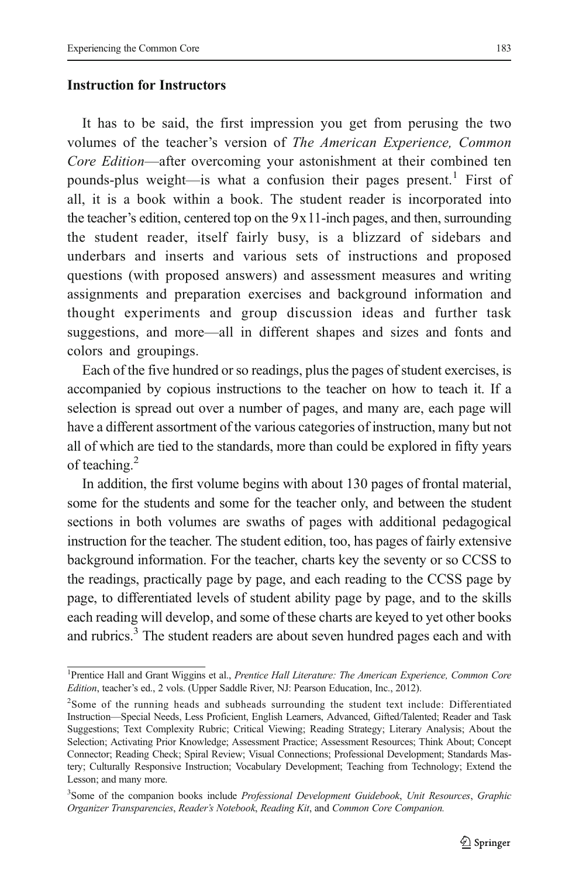## **Instruction for Instructors**

It has to be said, the first impression you get from perusing the two volumes of the teacher's version of The American Experience, Common Core Edition—after overcoming your astonishment at their combined ten pounds-plus weight—is what a confusion their pages present.<sup>1</sup> First of all, it is a book within a book. The student reader is incorporated into the teacher's edition, centered top on the 9x11-inch pages, and then, surrounding the student reader, itself fairly busy, is a blizzard of sidebars and underbars and inserts and various sets of instructions and proposed questions (with proposed answers) and assessment measures and writing assignments and preparation exercises and background information and thought experiments and group discussion ideas and further task suggestions, and more—all in different shapes and sizes and fonts and colors and groupings.

Each of the five hundred or so readings, plus the pages of student exercises, is accompanied by copious instructions to the teacher on how to teach it. If a selection is spread out over a number of pages, and many are, each page will have a different assortment of the various categories of instruction, many but not all of which are tied to the standards, more than could be explored in fifty years of teaching.<sup>2</sup>

In addition, the first volume begins with about 130 pages of frontal material, some for the students and some for the teacher only, and between the student sections in both volumes are swaths of pages with additional pedagogical instruction for the teacher. The student edition, too, has pages of fairly extensive background information. For the teacher, charts key the seventy or so CCSS to the readings, practically page by page, and each reading to the CCSS page by page, to differentiated levels of student ability page by page, and to the skills each reading will develop, and some of these charts are keyed to yet other books and rubrics.<sup>3</sup> The student readers are about seven hundred pages each and with

<sup>&</sup>lt;sup>1</sup>Prentice Hall and Grant Wiggins et al., Prentice Hall Literature: The American Experience, Common Core Edition, teacher's ed., 2 vols. (Upper Saddle River, NJ: Pearson Education, Inc., 2012).

<sup>&</sup>lt;sup>2</sup>Some of the running heads and subheads surrounding the student text include: Differentiated Instruction—Special Needs, Less Proficient, English Learners, Advanced, Gifted/Talented; Reader and Task Suggestions; Text Complexity Rubric; Critical Viewing; Reading Strategy; Literary Analysis; About the Selection; Activating Prior Knowledge; Assessment Practice; Assessment Resources; Think About; Concept Connector; Reading Check; Spiral Review; Visual Connections; Professional Development; Standards Mastery; Culturally Responsive Instruction; Vocabulary Development; Teaching from Technology; Extend the Lesson; and many more.

<sup>&</sup>lt;sup>3</sup>Some of the companion books include Professional Development Guidebook, Unit Resources, Graphic Organizer Transparencies, Reader's Notebook, Reading Kit, and Common Core Companion.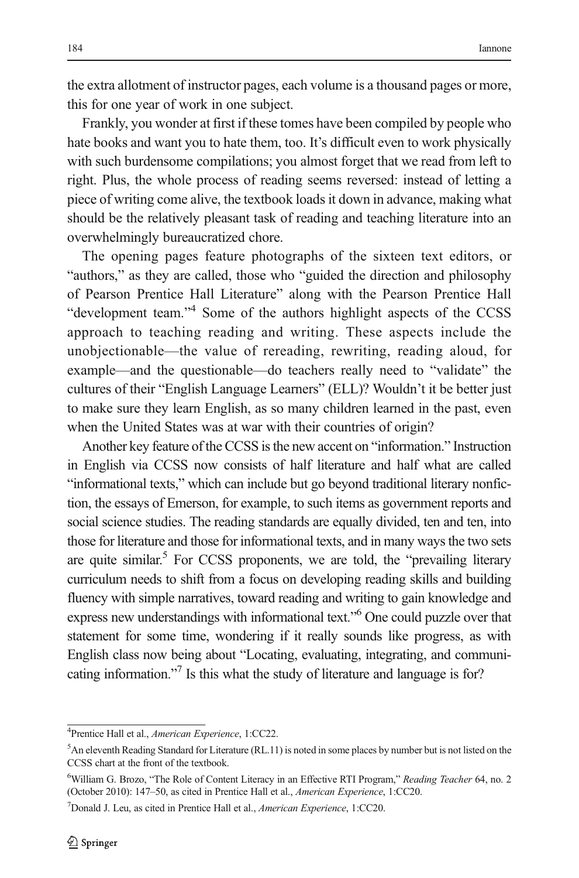the extra allotment of instructor pages, each volume is a thousand pages or more, this for one year of work in one subject.

Frankly, you wonder at first if these tomes have been compiled by people who hate books and want you to hate them, too. It's difficult even to work physically with such burdensome compilations; you almost forget that we read from left to right. Plus, the whole process of reading seems reversed: instead of letting a piece of writing come alive, the textbook loads it down in advance, making what should be the relatively pleasant task of reading and teaching literature into an overwhelmingly bureaucratized chore.

The opening pages feature photographs of the sixteen text editors, or "authors," as they are called, those who "guided the direction and philosophy of Pearson Prentice Hall Literature" along with the Pearson Prentice Hall "development team."<sup>4</sup> Some of the authors highlight aspects of the CCSS approach to teaching reading and writing. These aspects include the unobjectionable—the value of rereading, rewriting, reading aloud, for example—and the questionable—do teachers really need to "validate" the cultures of their "English Language Learners" (ELL)? Wouldn't it be better just to make sure they learn English, as so many children learned in the past, even when the United States was at war with their countries of origin?

Another key feature of the CCSS is the new accent on "information." Instruction in English via CCSS now consists of half literature and half what are called "informational texts," which can include but go beyond traditional literary nonfiction, the essays of Emerson, for example, to such items as government reports and social science studies. The reading standards are equally divided, ten and ten, into those for literature and those for informational texts, and in many ways the two sets are quite similar. $5$  For CCSS proponents, we are told, the "prevailing literary curriculum needs to shift from a focus on developing reading skills and building fluency with simple narratives, toward reading and writing to gain knowledge and express new understandings with informational text." <sup>6</sup> One could puzzle over that statement for some time, wondering if it really sounds like progress, as with English class now being about "Locating, evaluating, integrating, and communicating information."<sup>7</sup> Is this what the study of literature and language is for?

<sup>&</sup>lt;sup>4</sup>Prentice Hall et al., American Experience, 1:CC22.

<sup>&</sup>lt;sup>5</sup>An eleventh Reading Standard for Literature (RL.11) is noted in some places by number but is not listed on the CCSS chart at the front of the textbook.

<sup>&</sup>lt;sup>6</sup>William G. Brozo, "The Role of Content Literacy in an Effective RTI Program," Reading Teacher 64, no. 2 (October 2010): 147–50, as cited in Prentice Hall et al., American Experience, 1:CC20.

<sup>&</sup>lt;sup>7</sup>Donald J. Leu, as cited in Prentice Hall et al., American Experience, 1:CC20.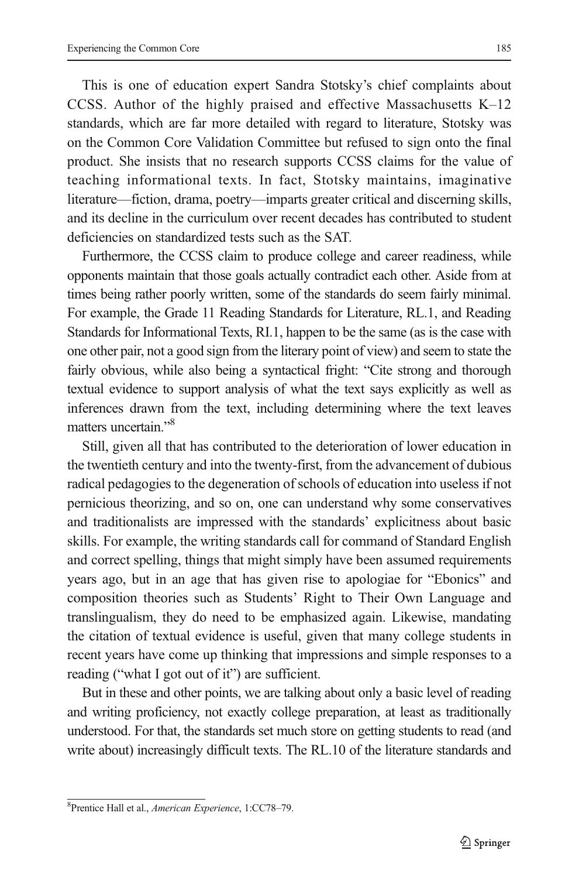This is one of education expert Sandra Stotsky's chief complaints about CCSS. Author of the highly praised and effective Massachusetts K–12 standards, which are far more detailed with regard to literature, Stotsky was on the Common Core Validation Committee but refused to sign onto the final product. She insists that no research supports CCSS claims for the value of teaching informational texts. In fact, Stotsky maintains, imaginative literature—fiction, drama, poetry—imparts greater critical and discerning skills, and its decline in the curriculum over recent decades has contributed to student deficiencies on standardized tests such as the SAT.

Furthermore, the CCSS claim to produce college and career readiness, while opponents maintain that those goals actually contradict each other. Aside from at times being rather poorly written, some of the standards do seem fairly minimal. For example, the Grade 11 Reading Standards for Literature, RL.1, and Reading Standards for Informational Texts, RI.1, happen to be the same (as is the case with one other pair, not a good sign from the literary point of view) and seem to state the fairly obvious, while also being a syntactical fright: "Cite strong and thorough textual evidence to support analysis of what the text says explicitly as well as inferences drawn from the text, including determining where the text leaves matters uncertain."<sup>8</sup>

Still, given all that has contributed to the deterioration of lower education in the twentieth century and into the twenty-first, from the advancement of dubious radical pedagogies to the degeneration of schools of education into useless if not pernicious theorizing, and so on, one can understand why some conservatives and traditionalists are impressed with the standards' explicitness about basic skills. For example, the writing standards call for command of Standard English and correct spelling, things that might simply have been assumed requirements years ago, but in an age that has given rise to apologiae for "Ebonics" and composition theories such as Students' Right to Their Own Language and translingualism, they do need to be emphasized again. Likewise, mandating the citation of textual evidence is useful, given that many college students in recent years have come up thinking that impressions and simple responses to a reading ("what I got out of it") are sufficient.

But in these and other points, we are talking about only a basic level of reading and writing proficiency, not exactly college preparation, at least as traditionally understood. For that, the standards set much store on getting students to read (and write about) increasingly difficult texts. The RL.10 of the literature standards and

<sup>&</sup>lt;sup>8</sup>Prentice Hall et al., American Experience, 1:CC78-79.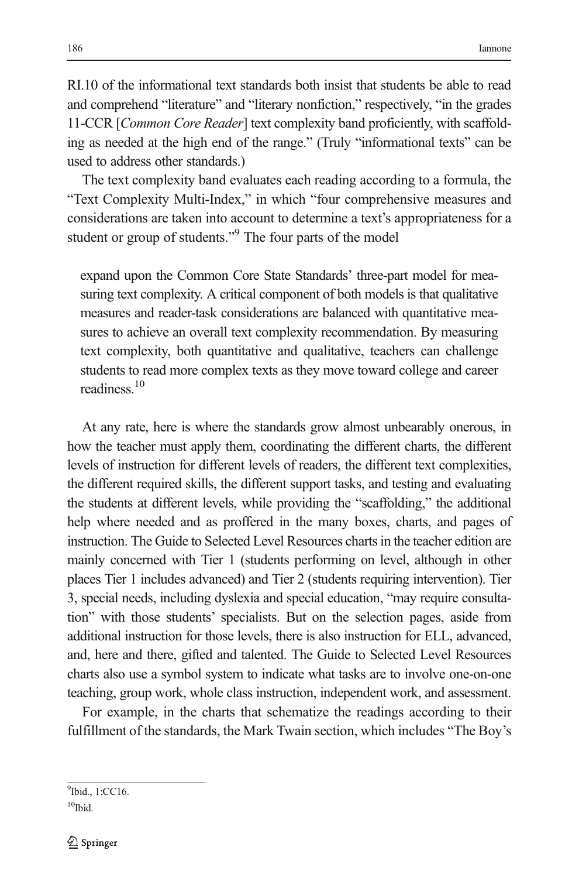RI.10 of the informational text standards both insist that students be able to read and comprehend "literature" and "literary nonfiction," respectively, "in the grades 11-CCR [Common Core Reader] text complexity band proficiently, with scaffolding as needed at the high end of the range." (Truly "informational texts" can be used to address other standards.)

The text complexity band evaluates each reading according to a formula, the "Text Complexity Multi-Index," in which "four comprehensive measures and considerations are taken into account to determine a text's appropriateness for a student or group of students."<sup>9</sup> The four parts of the model

expand upon the Common Core State Standards' three-part model for measuring text complexity. A critical component of both models is that qualitative measures and reader-task considerations are balanced with quantitative measures to achieve an overall text complexity recommendation. By measuring text complexity, both quantitative and qualitative, teachers can challenge students to read more complex texts as they move toward college and career readiness<sup>10</sup>

At any rate, here is where the standards grow almost unbearably onerous, in how the teacher must apply them, coordinating the different charts, the different levels of instruction for different levels of readers, the different text complexities, the different required skills, the different support tasks, and testing and evaluating the students at different levels, while providing the "scaffolding," the additional help where needed and as proffered in the many boxes, charts, and pages of instruction. The Guide to Selected Level Resources charts in the teacher edition are mainly concerned with Tier 1 (students performing on level, although in other places Tier 1 includes advanced) and Tier 2 (students requiring intervention). Tier 3, special needs, including dyslexia and special education, "may require consultation" with those students' specialists. But on the selection pages, aside from additional instruction for those levels, there is also instruction for ELL, advanced, and, here and there, gifted and talented. The Guide to Selected Level Resources charts also use a symbol system to indicate what tasks are to involve one-on-one teaching, group work, whole class instruction, independent work, and assessment.

For example, in the charts that schematize the readings according to their fulfillment of the standards, the Mark Twain section, which includes "The Boy's

<sup>9</sup>Ibid., 1:CC16.

 $10$ Ibid.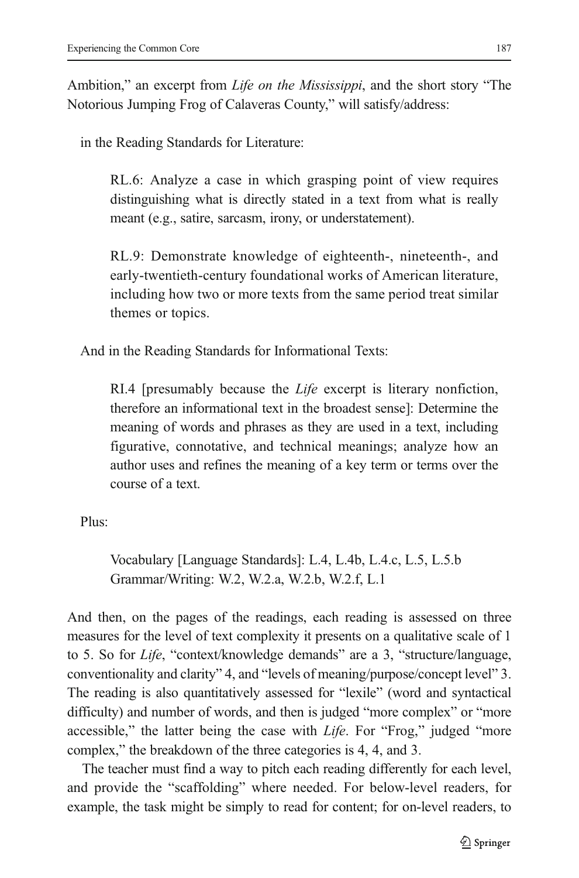Ambition," an excerpt from *Life on the Mississippi*, and the short story "The Notorious Jumping Frog of Calaveras County," will satisfy/address:

in the Reading Standards for Literature:

RL.6: Analyze a case in which grasping point of view requires distinguishing what is directly stated in a text from what is really meant (e.g., satire, sarcasm, irony, or understatement).

RL.9: Demonstrate knowledge of eighteenth-, nineteenth-, and early-twentieth-century foundational works of American literature, including how two or more texts from the same period treat similar themes or topics.

And in the Reading Standards for Informational Texts:

RI.4 [presumably because the Life excerpt is literary nonfiction, therefore an informational text in the broadest sense]: Determine the meaning of words and phrases as they are used in a text, including figurative, connotative, and technical meanings; analyze how an author uses and refines the meaning of a key term or terms over the course of a text.

Plus:

Vocabulary [Language Standards]: L.4, L.4b, L.4.c, L.5, L.5.b Grammar/Writing: W.2, W.2.a, W.2.b, W.2.f, L.1

And then, on the pages of the readings, each reading is assessed on three measures for the level of text complexity it presents on a qualitative scale of 1 to 5. So for Life, "context/knowledge demands" are a 3, "structure/language, conventionality and clarity" 4, and "levels of meaning/purpose/concept level" 3. The reading is also quantitatively assessed for "lexile" (word and syntactical difficulty) and number of words, and then is judged "more complex" or "more accessible," the latter being the case with *Life*. For "Frog," judged "more complex," the breakdown of the three categories is 4, 4, and 3.

The teacher must find a way to pitch each reading differently for each level, and provide the "scaffolding" where needed. For below-level readers, for example, the task might be simply to read for content; for on-level readers, to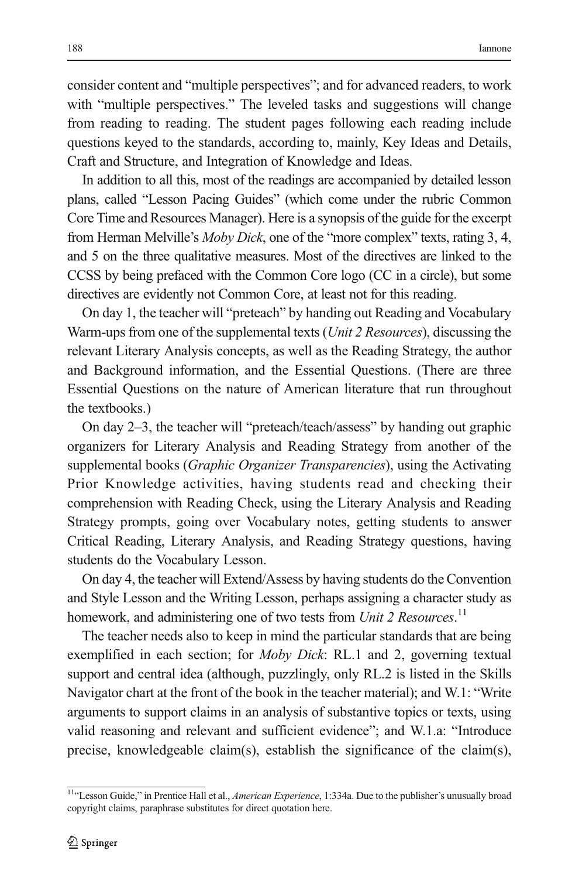consider content and "multiple perspectives"; and for advanced readers, to work with "multiple perspectives." The leveled tasks and suggestions will change from reading to reading. The student pages following each reading include questions keyed to the standards, according to, mainly, Key Ideas and Details, Craft and Structure, and Integration of Knowledge and Ideas.

In addition to all this, most of the readings are accompanied by detailed lesson plans, called "Lesson Pacing Guides" (which come under the rubric Common Core Time and Resources Manager). Here is a synopsis of the guide for the excerpt from Herman Melville's Moby Dick, one of the "more complex" texts, rating 3, 4, and 5 on the three qualitative measures. Most of the directives are linked to the CCSS by being prefaced with the Common Core logo (CC in a circle), but some directives are evidently not Common Core, at least not for this reading.

On day 1, the teacher will "preteach" by handing out Reading and Vocabulary Warm-ups from one of the supplemental texts (*Unit 2 Resources*), discussing the relevant Literary Analysis concepts, as well as the Reading Strategy, the author and Background information, and the Essential Questions. (There are three Essential Questions on the nature of American literature that run throughout the textbooks.)

On day 2–3, the teacher will "preteach/teach/assess" by handing out graphic organizers for Literary Analysis and Reading Strategy from another of the supplemental books (*Graphic Organizer Transparencies*), using the Activating Prior Knowledge activities, having students read and checking their comprehension with Reading Check, using the Literary Analysis and Reading Strategy prompts, going over Vocabulary notes, getting students to answer Critical Reading, Literary Analysis, and Reading Strategy questions, having students do the Vocabulary Lesson.

On day 4, the teacher will Extend/Assess by having students do the Convention and Style Lesson and the Writing Lesson, perhaps assigning a character study as homework, and administering one of two tests from Unit 2 Resources.<sup>11</sup>

The teacher needs also to keep in mind the particular standards that are being exemplified in each section; for Moby Dick: RL.1 and 2, governing textual support and central idea (although, puzzlingly, only RL.2 is listed in the Skills Navigator chart at the front of the book in the teacher material); and W.1: "Write arguments to support claims in an analysis of substantive topics or texts, using valid reasoning and relevant and sufficient evidence"; and W.1.a: "Introduce precise, knowledgeable claim(s), establish the significance of the claim(s),

<sup>&</sup>lt;sup>11</sup>"Lesson Guide," in Prentice Hall et al., American Experience, 1:334a. Due to the publisher's unusually broad copyright claims, paraphrase substitutes for direct quotation here.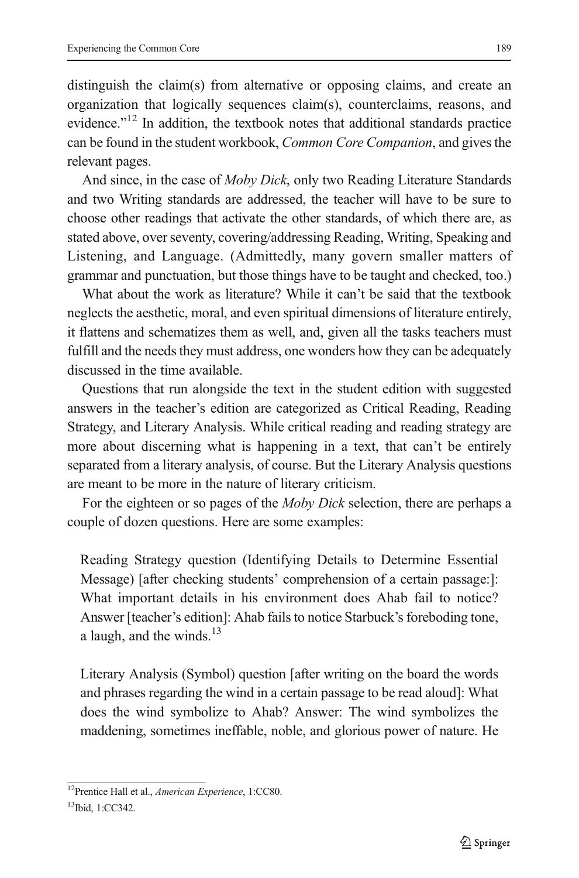distinguish the claim(s) from alternative or opposing claims, and create an organization that logically sequences claim(s), counterclaims, reasons, and evidence."<sup>12</sup> In addition, the textbook notes that additional standards practice can be found in the student workbook, Common Core Companion, and gives the relevant pages.

And since, in the case of *Moby Dick*, only two Reading Literature Standards and two Writing standards are addressed, the teacher will have to be sure to choose other readings that activate the other standards, of which there are, as stated above, over seventy, covering/addressing Reading, Writing, Speaking and Listening, and Language. (Admittedly, many govern smaller matters of grammar and punctuation, but those things have to be taught and checked, too.)

What about the work as literature? While it can't be said that the textbook neglects the aesthetic, moral, and even spiritual dimensions of literature entirely, it flattens and schematizes them as well, and, given all the tasks teachers must fulfill and the needs they must address, one wonders how they can be adequately discussed in the time available.

Questions that run alongside the text in the student edition with suggested answers in the teacher's edition are categorized as Critical Reading, Reading Strategy, and Literary Analysis. While critical reading and reading strategy are more about discerning what is happening in a text, that can't be entirely separated from a literary analysis, of course. But the Literary Analysis questions are meant to be more in the nature of literary criticism.

For the eighteen or so pages of the *Moby Dick* selection, there are perhaps a couple of dozen questions. Here are some examples:

Reading Strategy question (Identifying Details to Determine Essential Message) [after checking students' comprehension of a certain passage:]: What important details in his environment does Ahab fail to notice? Answer [teacher's edition]: Ahab fails to notice Starbuck's foreboding tone, a laugh, and the winds. $^{13}$ 

Literary Analysis (Symbol) question [after writing on the board the words and phrases regarding the wind in a certain passage to be read aloud]: What does the wind symbolize to Ahab? Answer: The wind symbolizes the maddening, sometimes ineffable, noble, and glorious power of nature. He

<sup>&</sup>lt;sup>12</sup>Prentice Hall et al., American Experience, 1:CC80.

<sup>13</sup>Ibid, 1:CC342.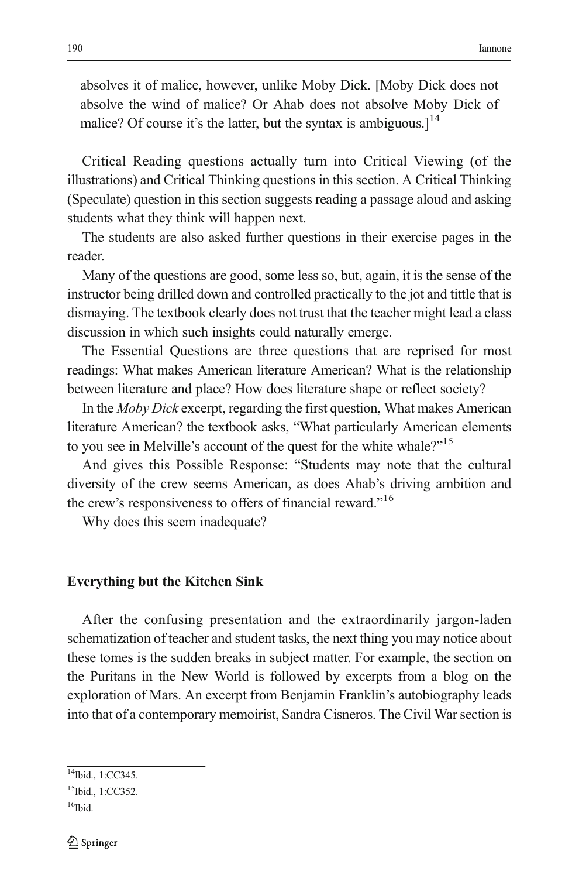absolves it of malice, however, unlike Moby Dick. [Moby Dick does not absolve the wind of malice? Or Ahab does not absolve Moby Dick of malice? Of course it's the latter, but the syntax is ambiguous. $]$ <sup>14</sup>

Critical Reading questions actually turn into Critical Viewing (of the illustrations) and Critical Thinking questions in this section. A Critical Thinking (Speculate) question in this section suggests reading a passage aloud and asking students what they think will happen next.

The students are also asked further questions in their exercise pages in the reader.

Many of the questions are good, some less so, but, again, it is the sense of the instructor being drilled down and controlled practically to the jot and tittle that is dismaying. The textbook clearly does not trust that the teacher might lead a class discussion in which such insights could naturally emerge.

The Essential Questions are three questions that are reprised for most readings: What makes American literature American? What is the relationship between literature and place? How does literature shape or reflect society?

In the Moby Dick excerpt, regarding the first question, What makes American literature American? the textbook asks, "What particularly American elements to you see in Melville's account of the quest for the white whale?"<sup>15</sup>

And gives this Possible Response: "Students may note that the cultural diversity of the crew seems American, as does Ahab's driving ambition and the crew's responsiveness to offers of financial reward."<sup>16</sup>

Why does this seem inadequate?

## $\mathbf{v} = \mathbf{c}$

After the confusing presentation and the extraordinarily jargon-laden schematization of teacher and student tasks, the next thing you may notice about these tomes is the sudden breaks in subject matter. For example, the section on the Puritans in the New World is followed by excerpts from a blog on the exploration of Mars. An excerpt from Benjamin Franklin's autobiography leads into that of a contemporary memoirist, Sandra Cisneros. The Civil War section is

<sup>14</sup>Ibid., 1:CC345.

<sup>&</sup>lt;sup>15</sup>Ibid., 1:CC352.

 $16$ Ibid.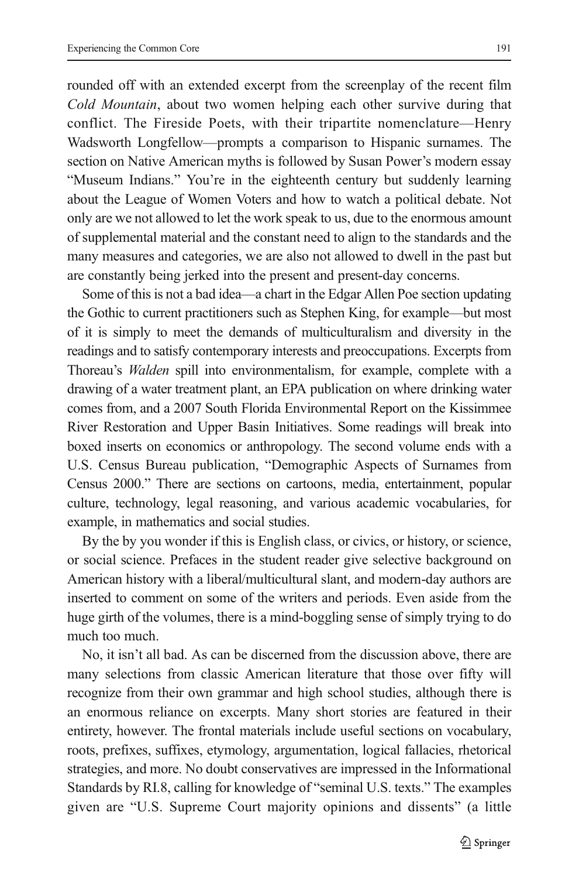rounded off with an extended excerpt from the screenplay of the recent film Cold Mountain, about two women helping each other survive during that conflict. The Fireside Poets, with their tripartite nomenclature—Henry Wadsworth Longfellow—prompts a comparison to Hispanic surnames. The section on Native American myths is followed by Susan Power's modern essay "Museum Indians." You're in the eighteenth century but suddenly learning about the League of Women Voters and how to watch a political debate. Not only are we not allowed to let the work speak to us, due to the enormous amount of supplemental material and the constant need to align to the standards and the many measures and categories, we are also not allowed to dwell in the past but are constantly being jerked into the present and present-day concerns.

Some of this is not a bad idea—a chart in the Edgar Allen Poe section updating the Gothic to current practitioners such as Stephen King, for example—but most of it is simply to meet the demands of multiculturalism and diversity in the readings and to satisfy contemporary interests and preoccupations. Excerpts from Thoreau's Walden spill into environmentalism, for example, complete with a drawing of a water treatment plant, an EPA publication on where drinking water comes from, and a 2007 South Florida Environmental Report on the Kissimmee River Restoration and Upper Basin Initiatives. Some readings will break into boxed inserts on economics or anthropology. The second volume ends with a U.S. Census Bureau publication, "Demographic Aspects of Surnames from Census 2000." There are sections on cartoons, media, entertainment, popular culture, technology, legal reasoning, and various academic vocabularies, for example, in mathematics and social studies.

By the by you wonder if this is English class, or civics, or history, or science, or social science. Prefaces in the student reader give selective background on American history with a liberal/multicultural slant, and modern-day authors are inserted to comment on some of the writers and periods. Even aside from the huge girth of the volumes, there is a mind-boggling sense of simply trying to do much too much.

No, it isn't all bad. As can be discerned from the discussion above, there are many selections from classic American literature that those over fifty will recognize from their own grammar and high school studies, although there is an enormous reliance on excerpts. Many short stories are featured in their entirety, however. The frontal materials include useful sections on vocabulary, roots, prefixes, suffixes, etymology, argumentation, logical fallacies, rhetorical strategies, and more. No doubt conservatives are impressed in the Informational Standards by RI.8, calling for knowledge of "seminal U.S. texts." The examples given are "U.S. Supreme Court majority opinions and dissents" (a little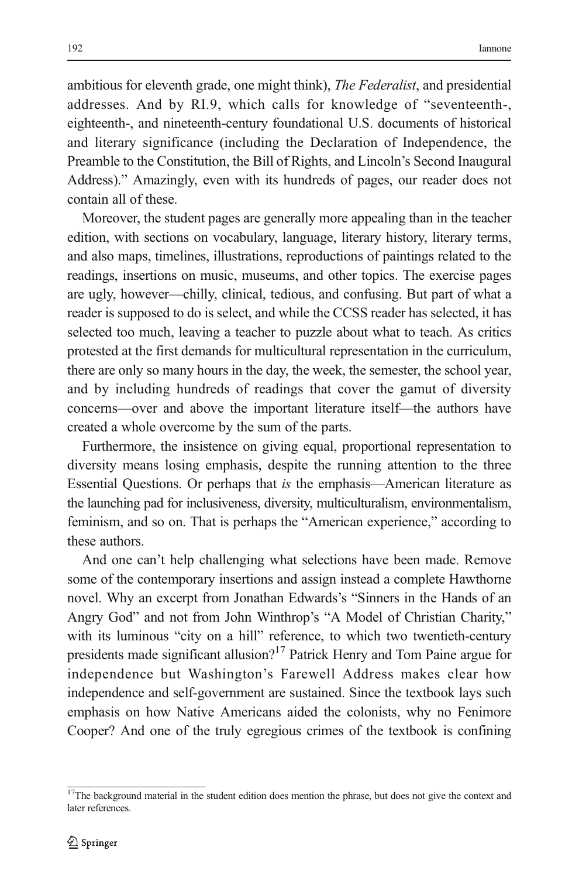ambitious for eleventh grade, one might think), *The Federalist*, and presidential addresses. And by RI.9, which calls for knowledge of "seventeenth-, eighteenth-, and nineteenth-century foundational U.S. documents of historical and literary significance (including the Declaration of Independence, the Preamble to the Constitution, the Bill of Rights, and Lincoln's Second Inaugural Address)." Amazingly, even with its hundreds of pages, our reader does not contain all of these.

Moreover, the student pages are generally more appealing than in the teacher edition, with sections on vocabulary, language, literary history, literary terms, and also maps, timelines, illustrations, reproductions of paintings related to the readings, insertions on music, museums, and other topics. The exercise pages are ugly, however—chilly, clinical, tedious, and confusing. But part of what a reader is supposed to do is select, and while the CCSS reader has selected, it has selected too much, leaving a teacher to puzzle about what to teach. As critics protested at the first demands for multicultural representation in the curriculum, there are only so many hours in the day, the week, the semester, the school year, and by including hundreds of readings that cover the gamut of diversity concerns—over and above the important literature itself—the authors have created a whole overcome by the sum of the parts.

Furthermore, the insistence on giving equal, proportional representation to diversity means losing emphasis, despite the running attention to the three Essential Questions. Or perhaps that is the emphasis—American literature as the launching pad for inclusiveness, diversity, multiculturalism, environmentalism, feminism, and so on. That is perhaps the "American experience," according to these authors.

And one can't help challenging what selections have been made. Remove some of the contemporary insertions and assign instead a complete Hawthorne novel. Why an excerpt from Jonathan Edwards's "Sinners in the Hands of an Angry God" and not from John Winthrop's "A Model of Christian Charity," with its luminous "city on a hill" reference, to which two twentieth-century presidents made significant allusion?<sup>17</sup> Patrick Henry and Tom Paine argue for independence but Washington's Farewell Address makes clear how independence and self-government are sustained. Since the textbook lays such emphasis on how Native Americans aided the colonists, why no Fenimore Cooper? And one of the truly egregious crimes of the textbook is confining

<sup>&</sup>lt;sup>17</sup>The background material in the student edition does mention the phrase, but does not give the context and later references.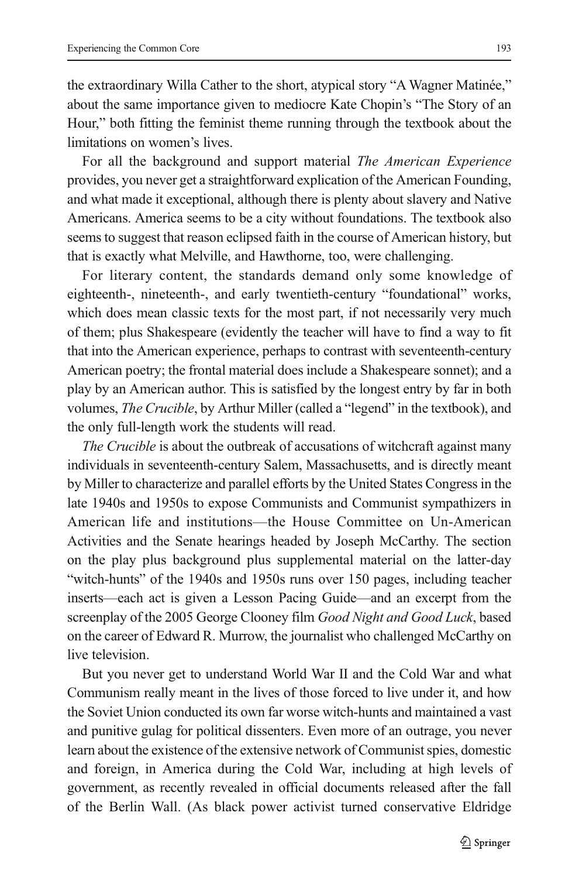the extraordinary Willa Cather to the short, atypical story "A Wagner Matinée," about the same importance given to mediocre Kate Chopin's "The Story of an Hour," both fitting the feminist theme running through the textbook about the limitations on women's lives.

For all the background and support material The American Experience provides, you never get a straightforward explication of the American Founding, and what made it exceptional, although there is plenty about slavery and Native Americans. America seems to be a city without foundations. The textbook also seems to suggest that reason eclipsed faith in the course of American history, but that is exactly what Melville, and Hawthorne, too, were challenging.

For literary content, the standards demand only some knowledge of eighteenth-, nineteenth-, and early twentieth-century "foundational" works, which does mean classic texts for the most part, if not necessarily very much of them; plus Shakespeare (evidently the teacher will have to find a way to fit that into the American experience, perhaps to contrast with seventeenth-century American poetry; the frontal material does include a Shakespeare sonnet); and a play by an American author. This is satisfied by the longest entry by far in both volumes, The Crucible, by Arthur Miller (called a "legend" in the textbook), and the only full-length work the students will read.

The Crucible is about the outbreak of accusations of witchcraft against many individuals in seventeenth-century Salem, Massachusetts, and is directly meant by Miller to characterize and parallel efforts by the United States Congress in the late 1940s and 1950s to expose Communists and Communist sympathizers in American life and institutions—the House Committee on Un-American Activities and the Senate hearings headed by Joseph McCarthy. The section on the play plus background plus supplemental material on the latter-day "witch-hunts" of the 1940s and 1950s runs over 150 pages, including teacher inserts—each act is given a Lesson Pacing Guide—and an excerpt from the screenplay of the 2005 George Clooney film *Good Night and Good Luck*, based on the career of Edward R. Murrow, the journalist who challenged McCarthy on live television.

But you never get to understand World War II and the Cold War and what Communism really meant in the lives of those forced to live under it, and how the Soviet Union conducted its own far worse witch-hunts and maintained a vast and punitive gulag for political dissenters. Even more of an outrage, you never learn about the existence of the extensive network of Communist spies, domestic and foreign, in America during the Cold War, including at high levels of government, as recently revealed in official documents released after the fall of the Berlin Wall. (As black power activist turned conservative Eldridge